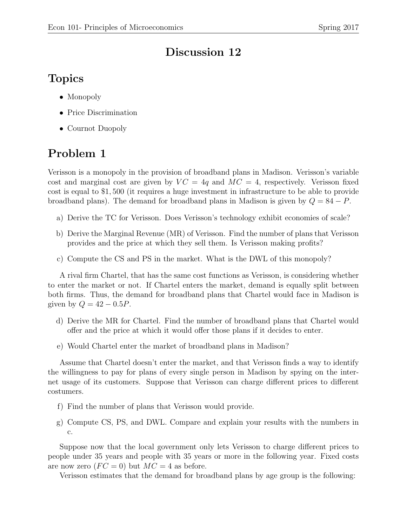## Discussion 12

## Topics

- Monopoly
- Price Discrimination
- Cournot Duopoly

## Problem 1

Verisson is a monopoly in the provision of broadband plans in Madison. Verisson's variable cost and marginal cost are given by  $VC = 4q$  and  $MC = 4$ , respectively. Verisson fixed cost is equal to \$1, 500 (it requires a huge investment in infrastructure to be able to provide broadband plans). The demand for broadband plans in Madison is given by  $Q = 84 - P$ .

- a) Derive the TC for Verisson. Does Verisson's technology exhibit economies of scale?
- b) Derive the Marginal Revenue (MR) of Verisson. Find the number of plans that Verisson provides and the price at which they sell them. Is Verisson making profits?
- c) Compute the CS and PS in the market. What is the DWL of this monopoly?

A rival firm Chartel, that has the same cost functions as Verisson, is considering whether to enter the market or not. If Chartel enters the market, demand is equally split between both firms. Thus, the demand for broadband plans that Chartel would face in Madison is given by  $Q = 42 - 0.5P$ .

- d) Derive the MR for Chartel. Find the number of broadband plans that Chartel would offer and the price at which it would offer those plans if it decides to enter.
- e) Would Chartel enter the market of broadband plans in Madison?

Assume that Chartel doesn't enter the market, and that Verisson finds a way to identify the willingness to pay for plans of every single person in Madison by spying on the internet usage of its customers. Suppose that Verisson can charge different prices to different costumers.

- f) Find the number of plans that Verisson would provide.
- g) Compute CS, PS, and DWL. Compare and explain your results with the numbers in c.

Suppose now that the local government only lets Verisson to charge different prices to people under 35 years and people with 35 years or more in the following year. Fixed costs are now zero  $(FC = 0)$  but  $MC = 4$  as before.

Verisson estimates that the demand for broadband plans by age group is the following: